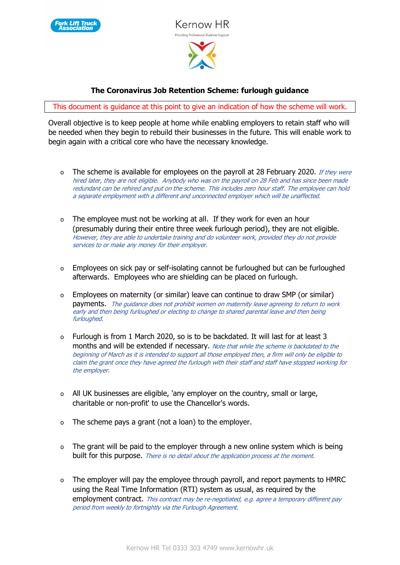



## **The Coronavirus Job Retention Scheme: furlough guidance**

This document is guidance at this point to give an indication of how the scheme will work.

Overall objective is to keep people at home while enabling employers to retain staff who will be needed when they begin to rebuild their businesses in the future. This will enable work to begin again with a critical core who have the necessary knowledge.

- o The scheme is available for employees on the payroll at 28 February 2020. If they were hired later, they are not eligible. Anybody who was on the payroll on 28 Feb and has since been made redundant can be rehired and put on the scheme. This includes zero hour staff. The employee can hold a separate employment with a different and unconnected employer which will be unaffected.
- o The employee must not be working at all. If they work for even an hour (presumably during their entire three week furlough period), they are not eligible. However, they are able to undertake training and do volunteer work, provided they do not provide services to or make any money for their employer.
- o Employees on sick pay or self-isolating cannot be furloughed but can be furloughed afterwards. Employees who are shielding can be placed on furlough.
- o Employees on maternity (or similar) leave can continue to draw SMP (or similar) payments. The quidance does not prohibit women on maternity leave agreeing to return to work early and then being furloughed or electing to change to shared parental leave and then being furloughed.
- o Furlough is from 1 March 2020, so is to be backdated. It will last for at least 3 months and will be extended if necessary. Note that while the scheme is backdated to the beginning of March as it is intended to support all those employed then, a firm will only be eligible to claim the grant once they have agreed the furlough with their staff and staff have stopped working for the employer.
- o All UK businesses are eligible, 'any employer on the country, small or large, charitable or non-profit' to use the Chancellor's words.
- o The scheme pays a grant (not a loan) to the employer.
- o The grant will be paid to the employer through a new online system which is being built for this purpose. There is no detail about the application process at the moment.
- o The employer will pay the employee through payroll, and report payments to HMRC using the Real Time Information (RTI) system as usual, as required by the employment contract. This contract may be re-negotiated, e.g. agree a temporary different pay period from weekly to fortnightly via the Furlough Agreement.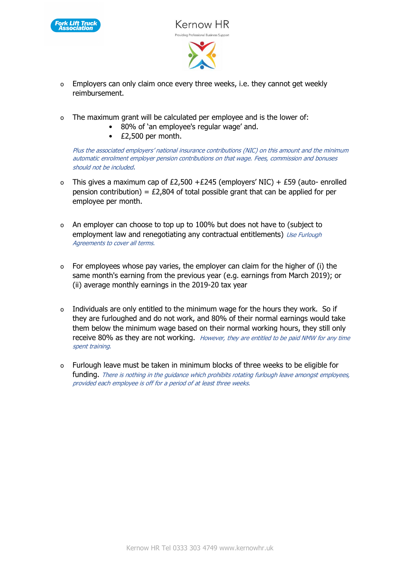



- o Employers can only claim once every three weeks, i.e. they cannot get weekly reimbursement.
- o The maximum grant will be calculated per employee and is the lower of:
	- 80% of 'an employee's regular wage' and.
	- £2,500 per month.

Plus the associated employers' national insurance contributions (NIC) on this amount and the minimum automatic enrolment employer pension contributions on that wage. Fees, commission and bonuses should not be included.

- o This gives a maximum cap of £2,500 +£245 (employers' NIC) + £59 (auto- enrolled pension contribution) =  $£2,804$  of total possible grant that can be applied for per employee per month.
- o An employer can choose to top up to 100% but does not have to (subject to employment law and renegotiating any contractual entitlements) Use Furlough Agreements to cover all terms.
- o For employees whose pay varies, the employer can claim for the higher of (i) the same month's earning from the previous year (e.g. earnings from March 2019); or (ii) average monthly earnings in the 2019-20 tax year
- o Individuals are only entitled to the minimum wage for the hours they work. So if they are furloughed and do not work, and 80% of their normal earnings would take them below the minimum wage based on their normal working hours, they still only receive 80% as they are not working. However, they are entitled to be paid NMW for any time spent training.
- o Furlough leave must be taken in minimum blocks of three weeks to be eligible for funding. There is nothing in the guidance which prohibits rotating furlough leave amongst employees, provided each employee is off for a period of at least three weeks.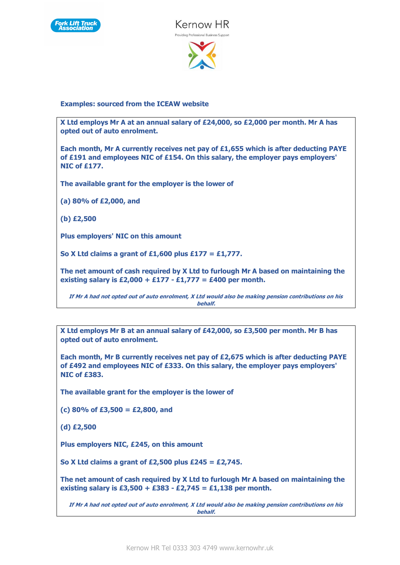



**Examples: sourced from the ICEAW website**

**X Ltd employs Mr A at an annual salary of £24,000, so £2,000 per month. Mr A has opted out of auto enrolment.**

**Each month, Mr A currently receives net pay of £1,655 which is after deducting PAYE of £191 and employees NIC of £154. On this salary, the employer pays employers' NIC of £177.**

**The available grant for the employer is the lower of**

**(a) 80% of £2,000, and**

**(b) £2,500**

**Plus employers' NIC on this amount**

**So X Ltd claims a grant of £1,600 plus £177 = £1,777.**

**The net amount of cash required by X Ltd to furlough Mr A based on maintaining the existing salary is £2,000 + £177 - £1,777 = £400 per month.**

**If Mr A had not opted out of auto enrolment, X Ltd would also be making pension contributions on his behalf.**

**X Ltd employs Mr B at an annual salary of £42,000, so £3,500 per month. Mr B has opted out of auto enrolment.**

**Each month, Mr B currently receives net pay of £2,675 which is after deducting PAYE of £492 and employees NIC of £333. On this salary, the employer pays employers' NIC of £383.**

**The available grant for the employer is the lower of**

**(c) 80% of £3,500 = £2,800, and**

**(d) £2,500**

**Plus employers NIC, £245, on this amount**

**So X Ltd claims a grant of £2,500 plus £245 = £2,745.**

**The net amount of cash required by X Ltd to furlough Mr A based on maintaining the existing salary is £3,500 + £383 - £2,745 = £1,138 per month.**

**If Mr A had not opted out of auto enrolment, X Ltd would also be making pension contributions on his behalf.**